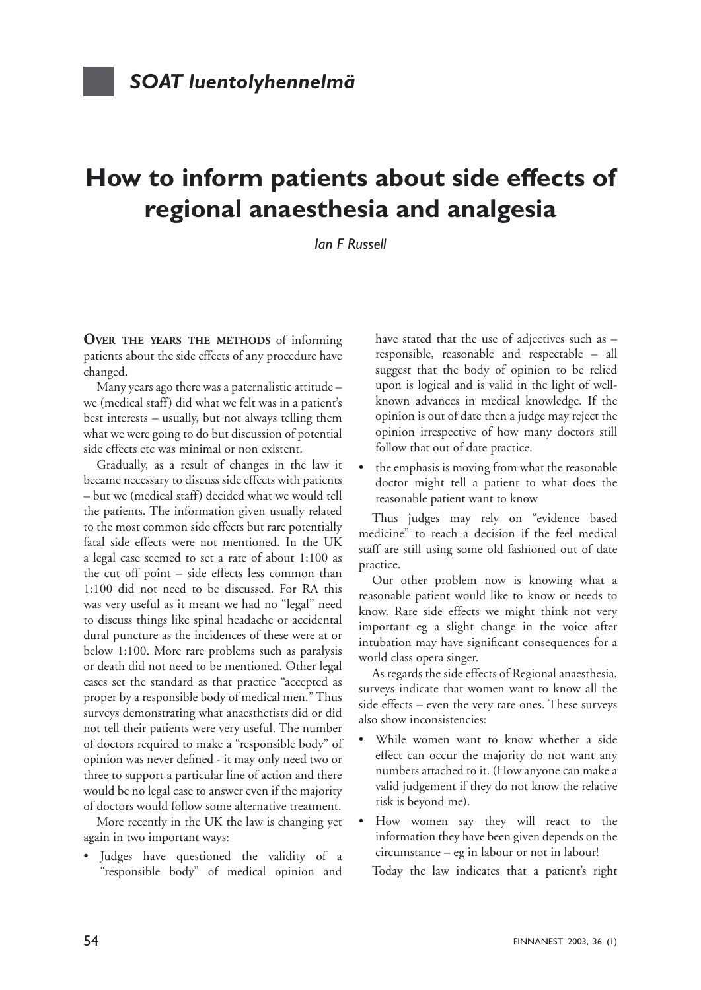## **How to inform patients about side effects of regional anaesthesia and analgesia**

*Ian F Russell*

**OVER THE YEARS THE METHODS** of informing patients about the side effects of any procedure have changed.

Many years ago there was a paternalistic attitude – we (medical staff) did what we felt was in a patient's best interests – usually, but not always telling them what we were going to do but discussion of potential side effects etc was minimal or non existent.

Gradually, as a result of changes in the law it became necessary to discuss side effects with patients – but we (medical staff) decided what we would tell the patients. The information given usually related to the most common side effects but rare potentially fatal side effects were not mentioned. In the UK a legal case seemed to set a rate of about 1:100 as the cut off point – side effects less common than 1:100 did not need to be discussed. For RA this was very useful as it meant we had no "legal" need to discuss things like spinal headache or accidental dural puncture as the incidences of these were at or below 1:100. More rare problems such as paralysis or death did not need to be mentioned. Other legal cases set the standard as that practice "accepted as proper by a responsible body of medical men." Thus surveys demonstrating what anaesthetists did or did not tell their patients were very useful. The number of doctors required to make a "responsible body" of opinion was never defined - it may only need two or three to support a particular line of action and there would be no legal case to answer even if the majority of doctors would follow some alternative treatment.

More recently in the UK the law is changing yet again in two important ways:

Judges have questioned the validity of a "responsible body" of medical opinion and have stated that the use of adjectives such as responsible, reasonable and respectable – all suggest that the body of opinion to be relied upon is logical and is valid in the light of wellknown advances in medical knowledge. If the opinion is out of date then a judge may reject the opinion irrespective of how many doctors still follow that out of date practice.

• the emphasis is moving from what the reasonable doctor might tell a patient to what does the reasonable patient want to know

Thus judges may rely on "evidence based medicine" to reach a decision if the feel medical staff are still using some old fashioned out of date practice.

Our other problem now is knowing what a reasonable patient would like to know or needs to know. Rare side effects we might think not very important eg a slight change in the voice after intubation may have significant consequences for a world class opera singer.

As regards the side effects of Regional anaesthesia, surveys indicate that women want to know all the side effects – even the very rare ones. These surveys also show inconsistencies:

- While women want to know whether a side effect can occur the majority do not want any numbers attached to it. (How anyone can make a valid judgement if they do not know the relative risk is beyond me).
- How women say they will react to the information they have been given depends on the circumstance – eg in labour or not in labour!

Today the law indicates that a patient's right